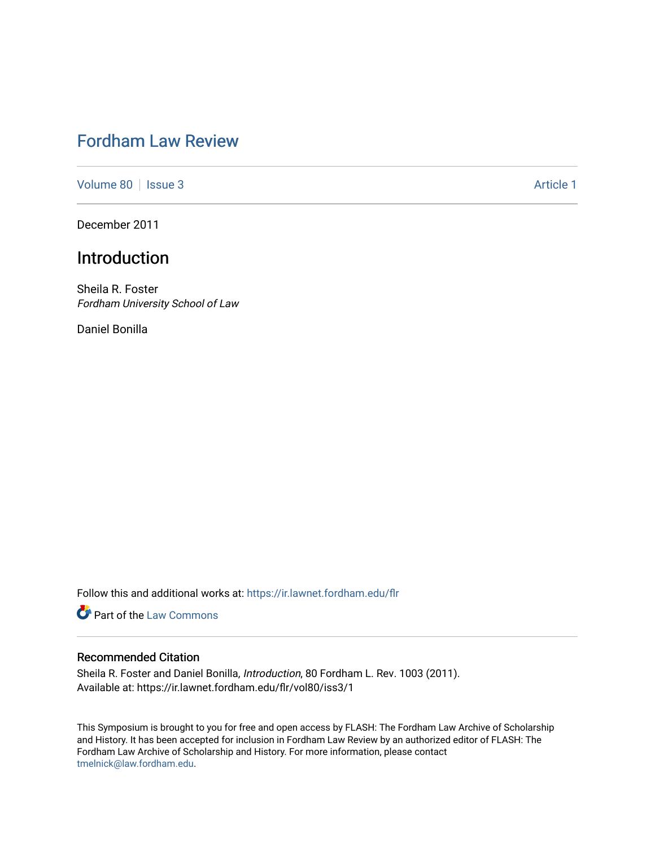# [Fordham Law Review](https://ir.lawnet.fordham.edu/flr)

[Volume 80](https://ir.lawnet.fordham.edu/flr/vol80) | [Issue 3](https://ir.lawnet.fordham.edu/flr/vol80/iss3) Article 1

December 2011

# Introduction

Sheila R. Foster Fordham University School of Law

Daniel Bonilla

Follow this and additional works at: [https://ir.lawnet.fordham.edu/flr](https://ir.lawnet.fordham.edu/flr?utm_source=ir.lawnet.fordham.edu%2Fflr%2Fvol80%2Fiss3%2F1&utm_medium=PDF&utm_campaign=PDFCoverPages)

**Part of the [Law Commons](http://network.bepress.com/hgg/discipline/578?utm_source=ir.lawnet.fordham.edu%2Fflr%2Fvol80%2Fiss3%2F1&utm_medium=PDF&utm_campaign=PDFCoverPages)** 

## Recommended Citation

Sheila R. Foster and Daniel Bonilla, Introduction, 80 Fordham L. Rev. 1003 (2011). Available at: https://ir.lawnet.fordham.edu/flr/vol80/iss3/1

This Symposium is brought to you for free and open access by FLASH: The Fordham Law Archive of Scholarship and History. It has been accepted for inclusion in Fordham Law Review by an authorized editor of FLASH: The Fordham Law Archive of Scholarship and History. For more information, please contact [tmelnick@law.fordham.edu](mailto:tmelnick@law.fordham.edu).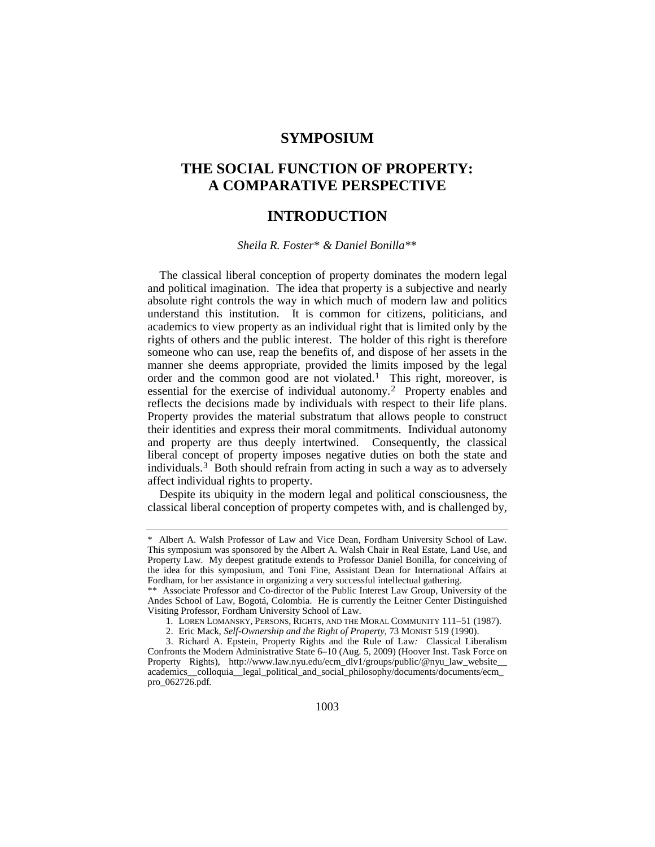## **SYMPOSIUM**

# **THE SOCIAL FUNCTION OF PROPERTY: A COMPARATIVE PERSPECTIVE**

## **INTRODUCTION**

#### *Sheila R. Foster*[\\*](#page-1-0) *& Daniel Bonilla*[\\*\\*](#page-1-1)

The classical liberal conception of property dominates the modern legal and political imagination. The idea that property is a subjective and nearly absolute right controls the way in which much of modern law and politics understand this institution. It is common for citizens, politicians, and academics to view property as an individual right that is limited only by the rights of others and the public interest. The holder of this right is therefore someone who can use, reap the benefits of, and dispose of her assets in the manner she deems appropriate, provided the limits imposed by the legal order and the common good are not violated.<sup>1</sup> This right, moreover, is essential for the exercise of individual autonomy.[2](#page-1-3) Property enables and reflects the decisions made by individuals with respect to their life plans. Property provides the material substratum that allows people to construct their identities and express their moral commitments. Individual autonomy and property are thus deeply intertwined. Consequently, the classical liberal concept of property imposes negative duties on both the state and individuals.<sup>[3](#page-1-4)</sup> Both should refrain from acting in such a way as to adversely affect individual rights to property.

Despite its ubiquity in the modern legal and political consciousness, the classical liberal conception of property competes with, and is challenged by,

<span id="page-1-0"></span><sup>\*</sup> Albert A. Walsh Professor of Law and Vice Dean, Fordham University School of Law. This symposium was sponsored by the Albert A. Walsh Chair in Real Estate, Land Use, and Property Law. My deepest gratitude extends to Professor Daniel Bonilla, for conceiving of the idea for this symposium, and Toni Fine, Assistant Dean for International Affairs at Fordham, for her assistance in organizing a very successful intellectual gathering.

<span id="page-1-1"></span><sup>\*\*</sup> Associate Professor and Co-director of the Public Interest Law Group, University of the Andes School of Law, Bogotá, Colombia. He is currently the Leitner Center Distinguished Visiting Professor, Fordham University School of Law.

<sup>1.</sup> LOREN LOMANSKY, PERSONS, RIGHTS, AND THE MORAL COMMUNITY 111–51 (1987).

<sup>2.</sup> Eric Mack, *Self-Ownership and the Right of Property*, 73 MONIST 519 (1990).

<span id="page-1-4"></span><span id="page-1-3"></span><span id="page-1-2"></span><sup>3.</sup> Richard A. Epstein, Property Rights and the Rule of Law*:* Classical Liberalism Confronts the Modern Administrative State 6–10 (Aug. 5, 2009) (Hoover Inst. Task Force on Property Rights), http://www.law.nyu.edu/ecm\_dlv1/groups/public/@nyu\_law\_website\_\_ academics\_\_colloquia\_\_legal\_political\_and\_social\_philosophy/documents/documents/ecm\_ pro\_062726.pdf*.*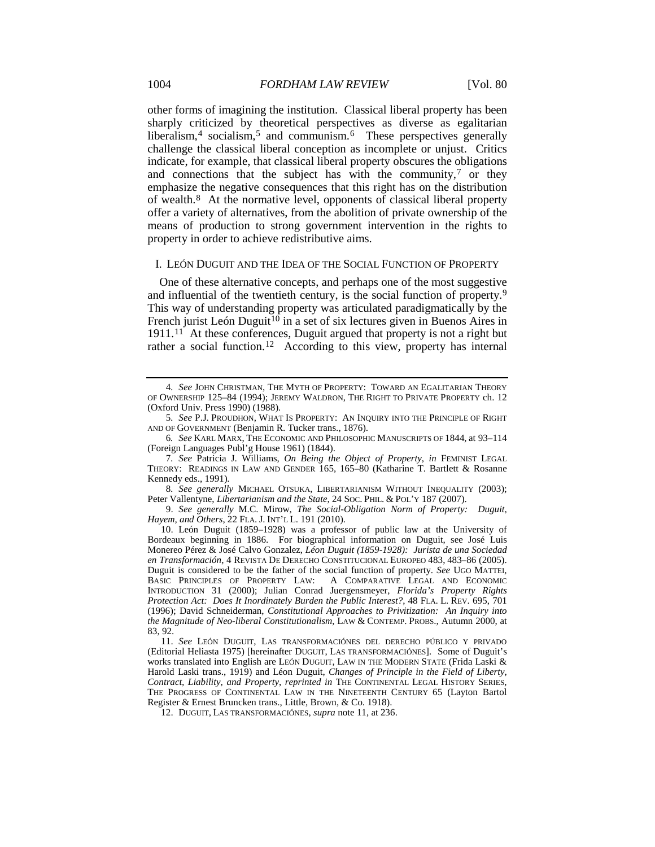other forms of imagining the institution. Classical liberal property has been sharply criticized by theoretical perspectives as diverse as egalitarian liberalism,<sup>[4](#page-2-1)</sup> socialism,<sup>[5](#page-2-2)</sup> and communism.<sup>6</sup> These perspectives generally challenge the classical liberal conception as incomplete or unjust. Critics indicate, for example, that classical liberal property obscures the obligations and connections that the subject has with the community, $\frac{7}{7}$  $\frac{7}{7}$  $\frac{7}{7}$  or they emphasize the negative consequences that this right has on the distribution of wealth[.8](#page-2-5) At the normative level, opponents of classical liberal property offer a variety of alternatives, from the abolition of private ownership of the means of production to strong government intervention in the rights to property in order to achieve redistributive aims.

#### <span id="page-2-10"></span>I. LEÓN DUGUIT AND THE IDEA OF THE SOCIAL FUNCTION OF PROPERTY

<span id="page-2-0"></span>One of these alternative concepts, and perhaps one of the most suggestive and influential of the twentieth century, is the social function of property.[9](#page-2-6) This way of understanding property was articulated paradigmatically by the French jurist León Duguit<sup>[10](#page-2-7)</sup> in a set of six lectures given in Buenos Aires in 1911.[11](#page-2-8) At these conferences, Duguit argued that property is not a right but rather a social function.<sup>[12](#page-2-9)</sup> According to this view, property has internal

<span id="page-2-5"></span>8*. See generally* MICHAEL OTSUKA, LIBERTARIANISM WITHOUT INEQUALITY (2003); Peter Vallentyne, *Libertarianism and the State*, 24 SOC. PHIL. & POL'Y 187 (2007).

<span id="page-2-6"></span>9. *See generally* M.C. Mirow, *The Social-Obligation Norm of Property: Duguit, Hayem, and Others*, 22 FLA. J. INT'L L. 191 (2010).

<span id="page-2-7"></span>10. León Duguit (1859–1928) was a professor of public law at the University of Bordeaux beginning in 1886. For biographical information on Duguit, see José Luis Monereo Pérez & José Calvo Gonzalez, *Léon Duguit (1859-1928): Jurista de una Sociedad en Transformación*, 4 REVISTA DE DERECHO CONSTITUCIONAL EUROPEO 483, 483–86 (2005). Duguit is considered to be the father of the social function of property. *See* UGO MATTEI, A COMPARATIVE LEGAL AND ECONOMIC INTRODUCTION 31 (2000); Julian Conrad Juergensmeyer, *Florida's Property Rights Protection Act: Does It Inordinately Burden the Public Interest?*, 48 FLA. L. REV. 695, 701 (1996); David Schneiderman, *Constitutional Approaches to Privitization: An Inquiry into the Magnitude of Neo-liberal Constitutionalism*, LAW & CONTEMP. PROBS., Autumn 2000, at 83, 92.

<span id="page-2-8"></span>11. *See* LEÓN DUGUIT, LAS TRANSFORMACIÓNES DEL DERECHO PÚBLICO Y PRIVADO (Editorial Heliasta 1975) [hereinafter DUGUIT, LAS TRANSFORMACIÓNES]. Some of Duguit's works translated into English are LEÓN DUGUIT, LAW IN THE MODERN STATE (Frida Laski & Harold Laski trans., 1919) and Léon Duguit, *Changes of Principle in the Field of Liberty, Contract, Liability, and Property*, *reprinted in* THE CONTINENTAL LEGAL HISTORY SERIES, THE PROGRESS OF CONTINENTAL LAW IN THE NINETEENTH CENTURY 65 (Layton Bartol Register & Ernest Bruncken trans., Little, Brown, & Co. 1918).

<span id="page-2-9"></span>12. DUGUIT, LAS TRANSFORMACIÓNES, *supra* not[e 11,](#page-2-0) at 236.

<span id="page-2-1"></span><sup>4</sup>*. See* JOHN CHRISTMAN, THE MYTH OF PROPERTY: TOWARD AN EGALITARIAN THEORY OF OWNERSHIP 125–84 (1994); JEREMY WALDRON, THE RIGHT TO PRIVATE PROPERTY ch. 12 (Oxford Univ. Press 1990) (1988).

<span id="page-2-2"></span><sup>5</sup>*. See* P.J. PROUDHON, WHAT IS PROPERTY: AN INQUIRY INTO THE PRINCIPLE OF RIGHT AND OF GOVERNMENT (Benjamin R. Tucker trans., 1876).

<span id="page-2-3"></span><sup>6</sup>*. See* KARL MARX, THE ECONOMIC AND PHILOSOPHIC MANUSCRIPTS OF 1844, at 93–114 (Foreign Languages Publ'g House 1961) (1844).

<span id="page-2-4"></span><sup>7</sup>*. See* Patricia J. Williams, *On Being the Object of Property*, *in* FEMINIST LEGAL THEORY: READINGS IN LAW AND GENDER 165, 165–80 (Katharine T. Bartlett & Rosanne Kennedy eds., 1991).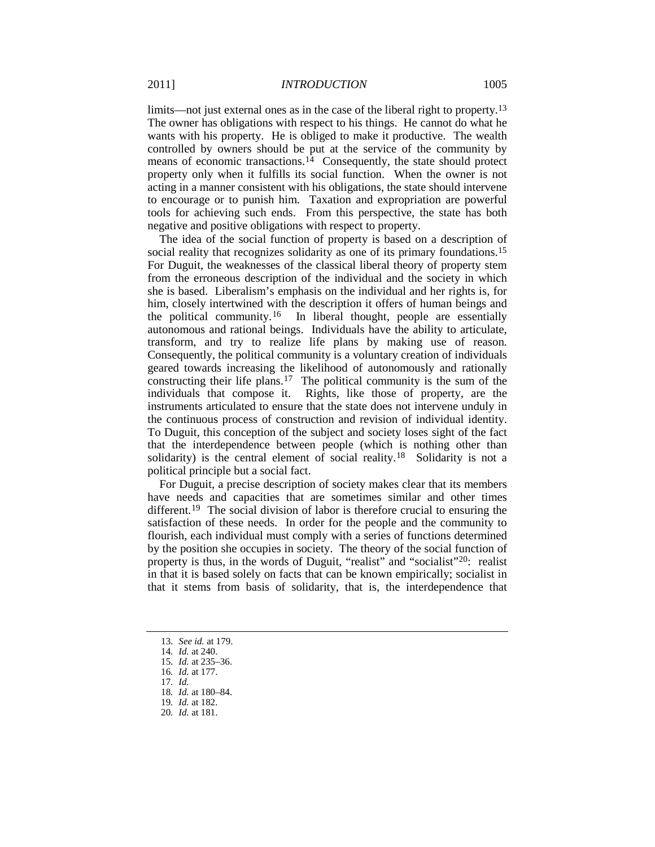<span id="page-3-8"></span>limits—not just external ones as in the case of the liberal right to property.<sup>[13](#page-3-0)</sup> The owner has obligations with respect to his things. He cannot do what he wants with his property. He is obliged to make it productive. The wealth controlled by owners should be put at the service of the community by means of economic transactions.<sup>[14](#page-3-1)</sup> Consequently, the state should protect property only when it fulfills its social function. When the owner is not acting in a manner consistent with his obligations, the state should intervene to encourage or to punish him. Taxation and expropriation are powerful tools for achieving such ends. From this perspective, the state has both negative and positive obligations with respect to property.

The idea of the social function of property is based on a description of social reality that recognizes solidarity as one of its primary foundations.<sup>[15](#page-3-2)</sup> For Duguit, the weaknesses of the classical liberal theory of property stem from the erroneous description of the individual and the society in which she is based. Liberalism's emphasis on the individual and her rights is, for him, closely intertwined with the description it offers of human beings and the political community.[16](#page-3-3) In liberal thought, people are essentially autonomous and rational beings. Individuals have the ability to articulate, transform, and try to realize life plans by making use of reason. Consequently, the political community is a voluntary creation of individuals geared towards increasing the likelihood of autonomously and rationally constructing their life plans.[17](#page-3-4) The political community is the sum of the individuals that compose it. Rights, like those of property, are the instruments articulated to ensure that the state does not intervene unduly in the continuous process of construction and revision of individual identity. To Duguit, this conception of the subject and society loses sight of the fact that the interdependence between people (which is nothing other than solidarity) is the central element of social reality.<sup>[18](#page-3-5)</sup> Solidarity is not a political principle but a social fact.

For Duguit, a precise description of society makes clear that its members have needs and capacities that are sometimes similar and other times different.<sup>[19](#page-3-6)</sup> The social division of labor is therefore crucial to ensuring the satisfaction of these needs. In order for the people and the community to flourish, each individual must comply with a series of functions determined by the position she occupies in society. The theory of the social function of property is thus, in the words of Duguit, "realist" and "socialist"<sup>[20](#page-3-7)</sup>: realist in that it is based solely on facts that can be known empirically; socialist in that it stems from basis of solidarity, that is, the interdependence that

- <span id="page-3-0"></span>13*. See id.* at 179.
- 14*. Id.* at 240.
- <span id="page-3-2"></span><span id="page-3-1"></span>15*. Id.* at 235–36. 16*. Id.* at 177.
- <span id="page-3-4"></span><span id="page-3-3"></span>17*. Id.*
- <span id="page-3-5"></span>18*. Id.* at 180–84.
- 19*. Id.* at 182.
- <span id="page-3-7"></span><span id="page-3-6"></span>20*. Id.* at 181.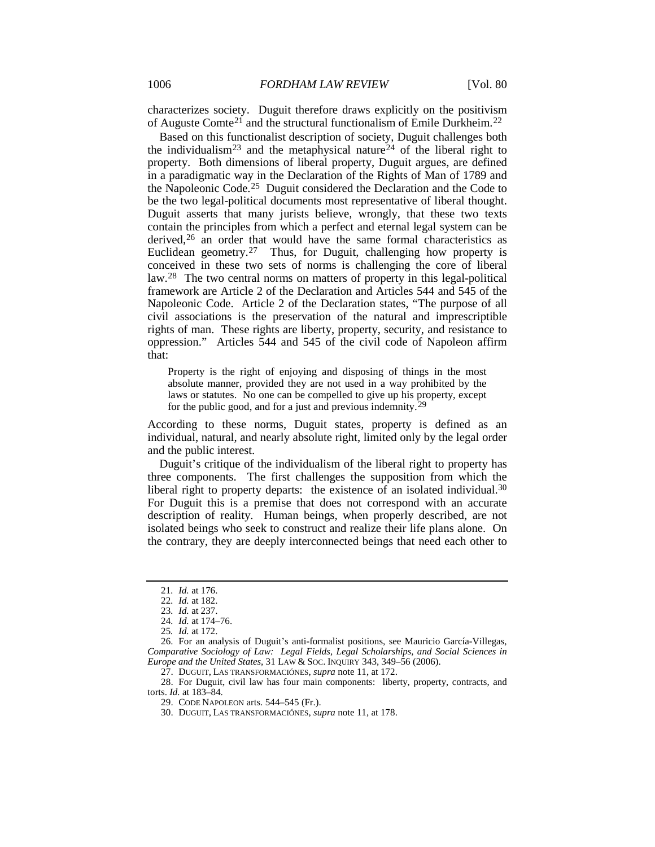characterizes society. Duguit therefore draws explicitly on the positivism of Auguste Comte[21](#page-4-0) and the structural functionalism of Emile Durkheim.[22](#page-4-1)

Based on this functionalist description of society, Duguit challenges both the individualism<sup>23</sup> and the metaphysical nature<sup>[24](#page-4-3)</sup> of the liberal right to property. Both dimensions of liberal property, Duguit argues, are defined in a paradigmatic way in the Declaration of the Rights of Man of 1789 and the Napoleonic Code.[25](#page-4-4) Duguit considered the Declaration and the Code to be the two legal-political documents most representative of liberal thought. Duguit asserts that many jurists believe, wrongly, that these two texts contain the principles from which a perfect and eternal legal system can be derived,<sup>[26](#page-4-5)</sup> an order that would have the same formal characteristics as Euclidean geometry.[27](#page-4-6) Thus, for Duguit, challenging how property is conceived in these two sets of norms is challenging the core of liberal law.<sup>[28](#page-4-7)</sup> The two central norms on matters of property in this legal-political framework are Article 2 of the Declaration and Articles 544 and 545 of the Napoleonic Code. Article 2 of the Declaration states, "The purpose of all civil associations is the preservation of the natural and imprescriptible rights of man. These rights are liberty, property, security, and resistance to oppression." Articles 544 and 545 of the civil code of Napoleon affirm that:

Property is the right of enjoying and disposing of things in the most absolute manner, provided they are not used in a way prohibited by the laws or statutes. No one can be compelled to give up his property, except for the public good, and for a just and previous indemnity.<sup>[29](#page-4-8)</sup>

According to these norms, Duguit states, property is defined as an individual, natural, and nearly absolute right, limited only by the legal order and the public interest.

Duguit's critique of the individualism of the liberal right to property has three components. The first challenges the supposition from which the liberal right to property departs: the existence of an isolated individual.<sup>[30](#page-4-9)</sup> For Duguit this is a premise that does not correspond with an accurate description of reality. Human beings, when properly described, are not isolated beings who seek to construct and realize their life plans alone. On the contrary, they are deeply interconnected beings that need each other to

<sup>21</sup>*. Id.* at 176.

<sup>22</sup>*. Id.* at 182.

<sup>23</sup>*. Id.* at 237.

<sup>24</sup>*. Id.* at 174–76.

<sup>25</sup>*. Id.* at 172.

<span id="page-4-5"></span><span id="page-4-4"></span><span id="page-4-3"></span><span id="page-4-2"></span><span id="page-4-1"></span><span id="page-4-0"></span><sup>26.</sup> For an analysis of Duguit's anti-formalist positions, see Mauricio García-Villegas, *Comparative Sociology of Law: Legal Fields, Legal Scholarships, and Social Sciences in Europe and the United States*, 31 LAW & SOC. INQUIRY 343, 349–56 (2006).

<sup>27.</sup> DUGUIT, LAS TRANSFORMACIÓNES, *supra* not[e 11,](#page-2-0) at 172.

<span id="page-4-9"></span><span id="page-4-8"></span><span id="page-4-7"></span><span id="page-4-6"></span><sup>28.</sup> For Duguit, civil law has four main components: liberty, property, contracts, and torts. *Id.* at 183–84.

<sup>29.</sup> CODE NAPOLEON arts. 544–545 (Fr.).

<sup>30.</sup> DUGUIT, LAS TRANSFORMACIÓNES, *supra* not[e 11,](#page-2-0) at 178.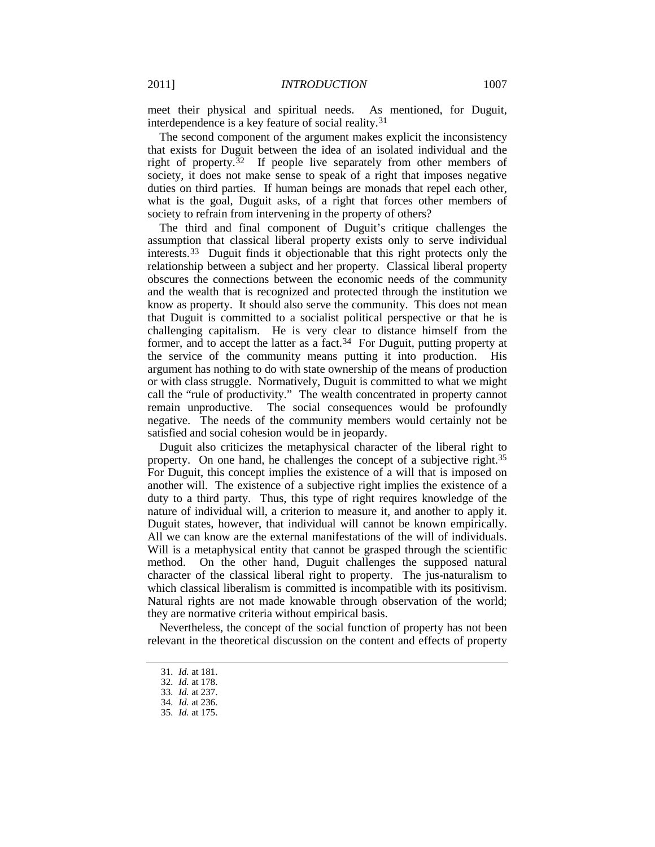meet their physical and spiritual needs. As mentioned, for Duguit, interdependence is a key feature of social reality.[31](#page-5-0)

The second component of the argument makes explicit the inconsistency that exists for Duguit between the idea of an isolated individual and the right of property.<sup>[32](#page-5-1)</sup> If people live separately from other members of society, it does not make sense to speak of a right that imposes negative duties on third parties. If human beings are monads that repel each other, what is the goal, Duguit asks, of a right that forces other members of society to refrain from intervening in the property of others?

The third and final component of Duguit's critique challenges the assumption that classical liberal property exists only to serve individual interests. [33](#page-5-2) Duguit finds it objectionable that this right protects only the relationship between a subject and her property. Classical liberal property obscures the connections between the economic needs of the community and the wealth that is recognized and protected through the institution we know as property. It should also serve the community. This does not mean that Duguit is committed to a socialist political perspective or that he is challenging capitalism. He is very clear to distance himself from the former, and to accept the latter as a fact. $34$  For Duguit, putting property at the service of the community means putting it into production. His argument has nothing to do with state ownership of the means of production or with class struggle. Normatively, Duguit is committed to what we might call the "rule of productivity." The wealth concentrated in property cannot remain unproductive. The social consequences would be profoundly negative. The needs of the community members would certainly not be satisfied and social cohesion would be in jeopardy.

Duguit also criticizes the metaphysical character of the liberal right to property. On one hand, he challenges the concept of a subjective right.<sup>[35](#page-5-4)</sup> For Duguit, this concept implies the existence of a will that is imposed on another will. The existence of a subjective right implies the existence of a duty to a third party. Thus, this type of right requires knowledge of the nature of individual will, a criterion to measure it, and another to apply it. Duguit states, however, that individual will cannot be known empirically. All we can know are the external manifestations of the will of individuals. Will is a metaphysical entity that cannot be grasped through the scientific method. On the other hand, Duguit challenges the supposed natural character of the classical liberal right to property. The jus-naturalism to which classical liberalism is committed is incompatible with its positivism. Natural rights are not made knowable through observation of the world; they are normative criteria without empirical basis.

<span id="page-5-1"></span><span id="page-5-0"></span>Nevertheless, the concept of the social function of property has not been relevant in the theoretical discussion on the content and effects of property

<sup>31</sup>*. Id.* at 181.

<sup>32</sup>*. Id.* at 178.

<span id="page-5-4"></span><span id="page-5-3"></span><span id="page-5-2"></span><sup>33</sup>*. Id.* at 237.

<sup>34</sup>*. Id.* at 236.

<sup>35</sup>*. Id.* at 175.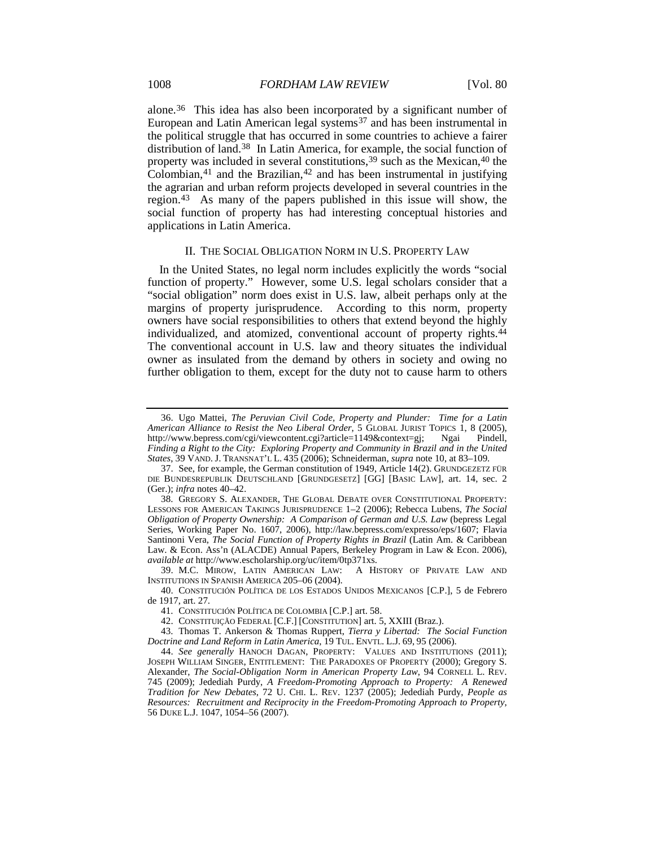alone.[36](#page-6-2) This idea has also been incorporated by a significant number of European and Latin American legal systems<sup>[37](#page-6-3)</sup> and has been instrumental in the political struggle that has occurred in some countries to achieve a fairer distribution of land.[38](#page-6-4) In Latin America, for example, the social function of property was included in several constitutions,<sup>[39](#page-6-5)</sup> such as the Mexican,<sup>[40](#page-6-6)</sup> the Colombian, $41$  and the Brazilian, $42$  and has been instrumental in justifying the agrarian and urban reform projects developed in several countries in the region.[43](#page-6-9) As many of the papers published in this issue will show, the social function of property has had interesting conceptual histories and applications in Latin America.

#### <span id="page-6-11"></span><span id="page-6-1"></span><span id="page-6-0"></span>II. THE SOCIAL OBLIGATION NORM IN U.S. PROPERTY LAW

In the United States, no legal norm includes explicitly the words "social function of property." However, some U.S. legal scholars consider that a "social obligation" norm does exist in U.S. law, albeit perhaps only at the margins of property jurisprudence. According to this norm, property owners have social responsibilities to others that extend beyond the highly individualized, and atomized, conventional account of property rights.<sup>[44](#page-6-10)</sup> The conventional account in U.S. law and theory situates the individual owner as insulated from the demand by others in society and owing no further obligation to them, except for the duty not to cause harm to others

<span id="page-6-2"></span><sup>36.</sup> Ugo Mattei, *The Peruvian Civil Code, Property and Plunder: Time for a Latin American Alliance to Resist the Neo Liberal Order*, 5 GLOBAL JURIST TOPICS 1, 8 (2005), http://www.bepress.com/cgi/viewcontent.cgi?article=1149&context=gj; Ngai Pindell, *Finding a Right to the City: Exploring Property and Community in Brazil and in the United States*, 39 VAND. J. TRANSNAT'L L. 435 (2006); Schneiderman, *supra* note [10,](#page-2-10) at 83–109.

<span id="page-6-3"></span><sup>37.</sup> See, for example, the German constitution of 1949, Article 14(2). GRUNDGEZETZ FÜR DIE BUNDESREPUBLIK DEUTSCHLAND [GRUNDGESETZ] [GG] [BASIC LAW], art. 14, sec. 2 (Ger.); *infra* note[s 40–](#page-6-0)[42.](#page-6-1)

<span id="page-6-4"></span><sup>38.</sup> GREGORY S. ALEXANDER, THE GLOBAL DEBATE OVER CONSTITUTIONAL PROPERTY: LESSONS FOR AMERICAN TAKINGS JURISPRUDENCE 1–2 (2006); Rebecca Lubens, *The Social Obligation of Property Ownership: A Comparison of German and U.S. Law* (bepress Legal Series, Working Paper No. 1607, 2006), http://law.bepress.com/expresso/eps/1607; Flavia Santinoni Vera, *The Social Function of Property Rights in Brazil* (Latin Am. & Caribbean Law. & Econ. Ass'n (ALACDE) Annual Papers, Berkeley Program in Law & Econ. 2006), *available at* http://www.escholarship.org/uc/item/0tp371xs.

<span id="page-6-5"></span><sup>39.</sup> M.C. MIROW, LATIN AMERICAN LAW: INSTITUTIONS IN SPANISH AMERICA 205–06 (2004).

<span id="page-6-6"></span><sup>40.</sup> CONSTITUCIÓN POLÍTICA DE LOS ESTADOS UNIDOS MEXICANOS [C.P.], 5 de Febrero de 1917, art. 27.

<sup>41.</sup> CONSTITUCIÓN POLÍTICA DE COLOMBIA [C.P.] art. 58.

<sup>42.</sup> CONSTITUIÇÃO FEDERAL [C.F.] [CONSTITUTION] art. 5, XXIII (Braz.).

<span id="page-6-9"></span><span id="page-6-8"></span><span id="page-6-7"></span><sup>43.</sup> Thomas T. Ankerson & Thomas Ruppert, *Tierra y Libertad: The Social Function Doctrine and Land Reform in Latin America*, 19 TUL. ENVTL. L.J. 69, 95 (2006).

<span id="page-6-10"></span><sup>44.</sup> *See generally* HANOCH DAGAN, PROPERTY: VALUES AND INSTITUTIONS (2011); JOSEPH WILLIAM SINGER, ENTITLEMENT: THE PARADOXES OF PROPERTY (2000); Gregory S. Alexander, *The Social-Obligation Norm in American Property Law*, 94 CORNELL L. REV. 745 (2009); Jedediah Purdy, *A Freedom-Promoting Approach to Property: A Renewed Tradition for New Debates*, 72 U. CHI. L. REV. 1237 (2005); Jedediah Purdy, *People as Resources: Recruitment and Reciprocity in the Freedom-Promoting Approach to Property*, 56 DUKE L.J. 1047, 1054–56 (2007).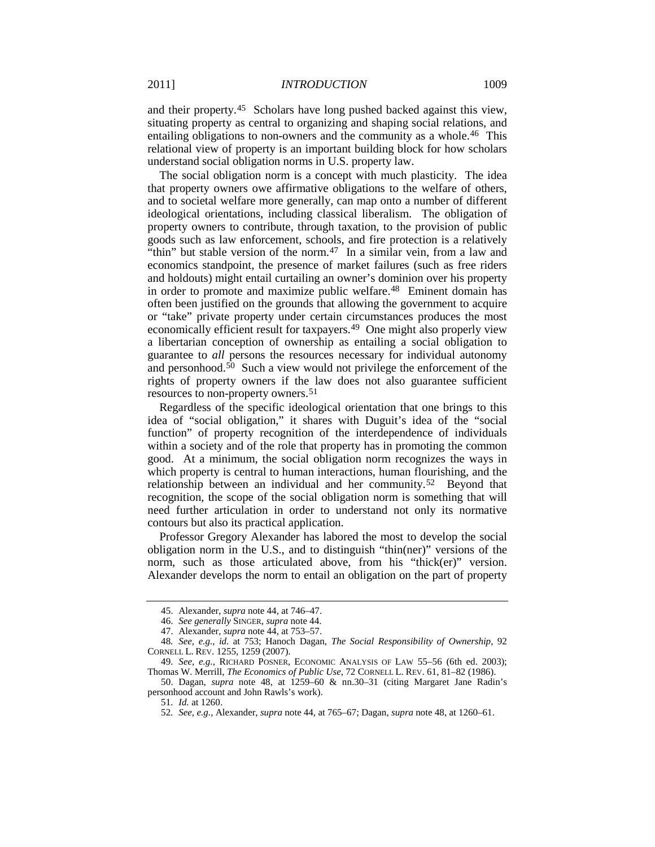and their property.[45](#page-7-1) Scholars have long pushed backed against this view, situating property as central to organizing and shaping social relations, and entailing obligations to non-owners and the community as a whole.<sup>[46](#page-7-2)</sup> This relational view of property is an important building block for how scholars understand social obligation norms in U.S. property law.

<span id="page-7-0"></span>The social obligation norm is a concept with much plasticity. The idea that property owners owe affirmative obligations to the welfare of others, and to societal welfare more generally, can map onto a number of different ideological orientations, including classical liberalism. The obligation of property owners to contribute, through taxation, to the provision of public goods such as law enforcement, schools, and fire protection is a relatively "thin" but stable version of the norm.<sup>[47](#page-7-3)</sup> In a similar vein, from a law and economics standpoint, the presence of market failures (such as free riders and holdouts) might entail curtailing an owner's dominion over his property in order to promote and maximize public welfare.<sup>48</sup> Eminent domain has often been justified on the grounds that allowing the government to acquire or "take" private property under certain circumstances produces the most economically efficient result for taxpayers.<sup>[49](#page-7-5)</sup> One might also properly view a libertarian conception of ownership as entailing a social obligation to guarantee to *all* persons the resources necessary for individual autonomy and personhood.<sup>50</sup> Such a view would not privilege the enforcement of the rights of property owners if the law does not also guarantee sufficient resources to non-property owners.[51](#page-7-7)

Regardless of the specific ideological orientation that one brings to this idea of "social obligation," it shares with Duguit's idea of the "social function" of property recognition of the interdependence of individuals within a society and of the role that property has in promoting the common good. At a minimum, the social obligation norm recognizes the ways in which property is central to human interactions, human flourishing, and the relationship between an individual and her community.<sup>[52](#page-7-8)</sup> Beyond that recognition, the scope of the social obligation norm is something that will need further articulation in order to understand not only its normative contours but also its practical application.

Professor Gregory Alexander has labored the most to develop the social obligation norm in the U.S., and to distinguish "thin(ner)" versions of the norm, such as those articulated above, from his "thick(er)" version. Alexander develops the norm to entail an obligation on the part of property

<sup>45.</sup> Alexander, *supra* not[e 44,](#page-6-11) at 746–47.

<sup>46.</sup> *See generally* SINGER, *supra* not[e 44.](#page-6-11)

<sup>47.</sup> Alexander, *supra* not[e 44,](#page-6-11) at 753–57.

<span id="page-7-4"></span><span id="page-7-3"></span><span id="page-7-2"></span><span id="page-7-1"></span><sup>48</sup>*. See, e.g.*, *id.* at 753; Hanoch Dagan, *The Social Responsibility of Ownership*, 92 CORNELL L. REV. 1255, 1259 (2007).

<span id="page-7-5"></span><sup>49</sup>*. See, e.g.*, RICHARD POSNER, ECONOMIC ANALYSIS OF LAW 55–56 (6th ed. 2003); Thomas W. Merrill, *The Economics of Public Use*, 72 CORNELL L. REV. 61, 81–82 (1986).

<span id="page-7-8"></span><span id="page-7-7"></span><span id="page-7-6"></span><sup>50.</sup> Dagan, *supra* note [48,](#page-7-0) at 1259–60 & nn.30–31 (citing Margaret Jane Radin's personhood account and John Rawls's work).

<sup>51</sup>*. Id.* at 1260.

<sup>52</sup>*. See, e.g.*, Alexander, *supra* note [44,](#page-6-11) at 765–67; Dagan, *supra* not[e 48,](#page-7-0) at 1260–61.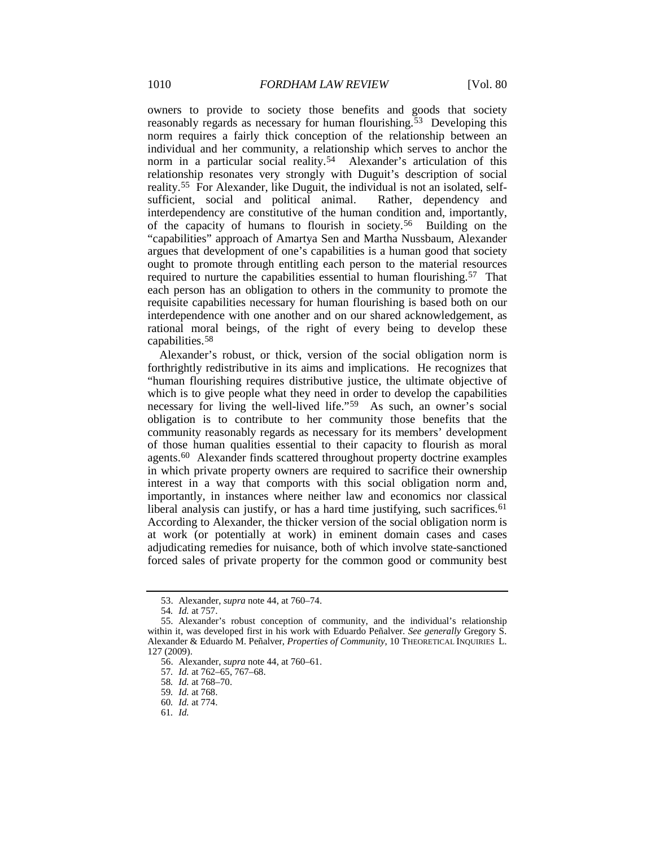owners to provide to society those benefits and goods that society reasonably regards as necessary for human flourishing.<sup>[53](#page-8-0)</sup> Developing this norm requires a fairly thick conception of the relationship between an individual and her community, a relationship which serves to anchor the norm in a particular social reality.<sup>54</sup> Alexander's articulation of this relationship resonates very strongly with Duguit's description of social reality.[55](#page-8-2) For Alexander, like Duguit, the individual is not an isolated, selfsufficient, social and political animal. Rather, dependency and interdependency are constitutive of the human condition and, importantly, of the capacity of humans to flourish in society.[56](#page-8-3) Building on the "capabilities" approach of Amartya Sen and Martha Nussbaum, Alexander argues that development of one's capabilities is a human good that society ought to promote through entitling each person to the material resources required to nurture the capabilities essential to human flourishing.[57](#page-8-4) That each person has an obligation to others in the community to promote the requisite capabilities necessary for human flourishing is based both on our interdependence with one another and on our shared acknowledgement, as rational moral beings, of the right of every being to develop these capabilities.[58](#page-8-5)

Alexander's robust, or thick, version of the social obligation norm is forthrightly redistributive in its aims and implications. He recognizes that "human flourishing requires distributive justice, the ultimate objective of which is to give people what they need in order to develop the capabilities necessary for living the well-lived life."[59](#page-8-6) As such, an owner's social obligation is to contribute to her community those benefits that the community reasonably regards as necessary for its members' development of those human qualities essential to their capacity to flourish as moral agents.[60](#page-8-7) Alexander finds scattered throughout property doctrine examples in which private property owners are required to sacrifice their ownership interest in a way that comports with this social obligation norm and, importantly, in instances where neither law and economics nor classical liberal analysis can justify, or has a hard time justifying, such sacrifices.<sup>[61](#page-8-8)</sup> According to Alexander, the thicker version of the social obligation norm is at work (or potentially at work) in eminent domain cases and cases adjudicating remedies for nuisance, both of which involve state-sanctioned forced sales of private property for the common good or community best

<sup>53.</sup> Alexander, *supra* note [44,](#page-6-11) at 760–74.

<sup>54</sup>*. Id.* at 757.

<span id="page-8-5"></span><span id="page-8-4"></span><span id="page-8-3"></span><span id="page-8-2"></span><span id="page-8-1"></span><span id="page-8-0"></span><sup>55.</sup> Alexander's robust conception of community, and the individual's relationship within it, was developed first in his work with Eduardo Peñalver. *See generally* Gregory S. Alexander & Eduardo M. Peñalver, *Properties of Community*, 10 THEORETICAL INQUIRIES L. 127 (2009).

<sup>56.</sup> Alexander, *supra* not[e 44,](#page-6-11) at 760–61.

<sup>57</sup>*. Id.* at 762–65, 767–68.

<sup>58</sup>*. Id.* at 768–70.

<span id="page-8-6"></span><sup>59</sup>*. Id.* at 768.

<sup>60</sup>*. Id.* at 774.

<span id="page-8-8"></span><span id="page-8-7"></span><sup>61</sup>*. Id.*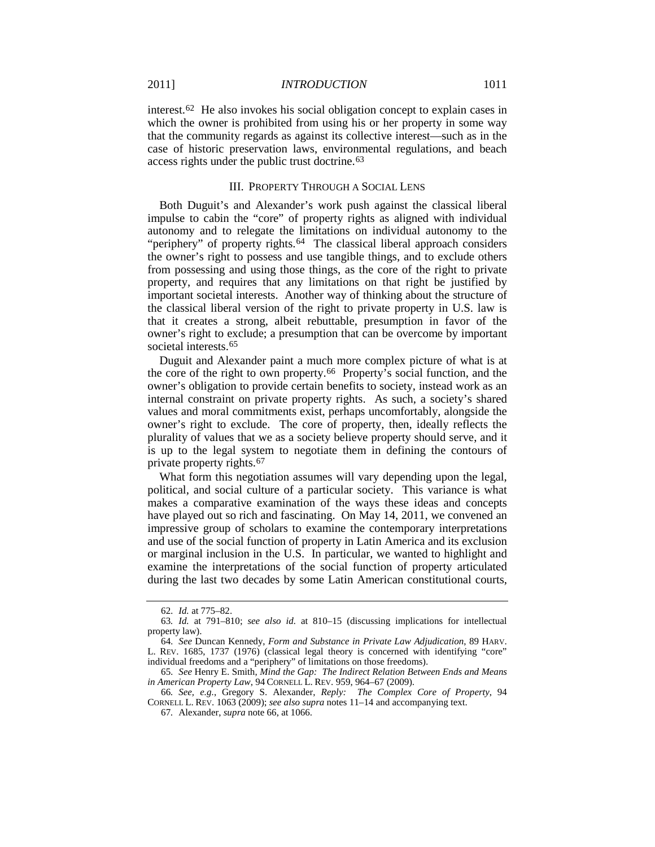interest.[62](#page-9-1) He also invokes his social obligation concept to explain cases in which the owner is prohibited from using his or her property in some way that the community regards as against its collective interest—such as in the case of historic preservation laws, environmental regulations, and beach access rights under the public trust doctrine.[63](#page-9-2)

#### III. PROPERTY THROUGH A SOCIAL LENS

Both Duguit's and Alexander's work push against the classical liberal impulse to cabin the "core" of property rights as aligned with individual autonomy and to relegate the limitations on individual autonomy to the "periphery" of property rights.<sup>[64](#page-9-3)</sup> The classical liberal approach considers the owner's right to possess and use tangible things, and to exclude others from possessing and using those things, as the core of the right to private property, and requires that any limitations on that right be justified by important societal interests. Another way of thinking about the structure of the classical liberal version of the right to private property in U.S. law is that it creates a strong, albeit rebuttable, presumption in favor of the owner's right to exclude; a presumption that can be overcome by important societal interests.[65](#page-9-4)

<span id="page-9-0"></span>Duguit and Alexander paint a much more complex picture of what is at the core of the right to own property.[66](#page-9-5) Property's social function, and the owner's obligation to provide certain benefits to society, instead work as an internal constraint on private property rights. As such, a society's shared values and moral commitments exist, perhaps uncomfortably, alongside the owner's right to exclude. The core of property, then, ideally reflects the plurality of values that we as a society believe property should serve, and it is up to the legal system to negotiate them in defining the contours of private property rights.[67](#page-9-6)

What form this negotiation assumes will vary depending upon the legal, political, and social culture of a particular society. This variance is what makes a comparative examination of the ways these ideas and concepts have played out so rich and fascinating. On May 14, 2011, we convened an impressive group of scholars to examine the contemporary interpretations and use of the social function of property in Latin America and its exclusion or marginal inclusion in the U.S. In particular, we wanted to highlight and examine the interpretations of the social function of property articulated during the last two decades by some Latin American constitutional courts,

<sup>62</sup>*. Id.* at 775–82.

<span id="page-9-2"></span><span id="page-9-1"></span><sup>63</sup>*. Id.* at 791–810; *see also id.* at 810–15 (discussing implications for intellectual property law).

<span id="page-9-3"></span><sup>64</sup>*. See* Duncan Kennedy, *Form and Substance in Private Law Adjudication*, 89 HARV. L. REV. 1685, 1737 (1976) (classical legal theory is concerned with identifying "core" individual freedoms and a "periphery" of limitations on those freedoms).

<span id="page-9-4"></span><sup>65</sup>*. See* Henry E. Smith, *Mind the Gap: The Indirect Relation Between Ends and Means in American Property Law*, 94 CORNELL L. REV. 959, 964–67 (2009).

<span id="page-9-6"></span><span id="page-9-5"></span><sup>66</sup>*. See, e.g.*, Gregory S. Alexander, *Reply: The Complex Core of Property*, 94 CORNELL L. REV. 1063 (2009); *see also supra* note[s 11–](#page-2-0)[14](#page-3-8) and accompanying text.

<sup>67</sup>*.* Alexander, *supra* not[e 66,](#page-9-0) at 1066.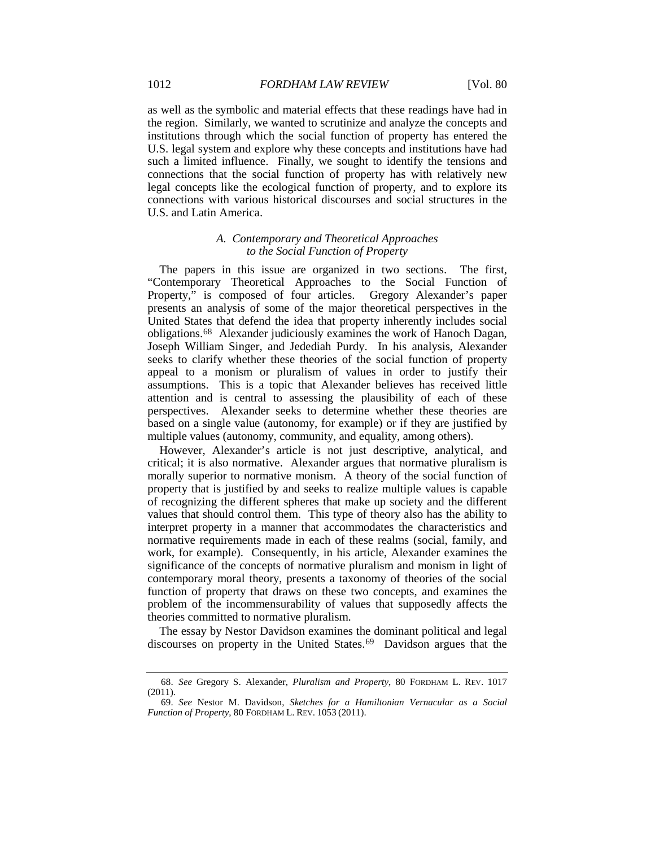as well as the symbolic and material effects that these readings have had in the region. Similarly, we wanted to scrutinize and analyze the concepts and institutions through which the social function of property has entered the U.S. legal system and explore why these concepts and institutions have had such a limited influence. Finally, we sought to identify the tensions and connections that the social function of property has with relatively new legal concepts like the ecological function of property, and to explore its connections with various historical discourses and social structures in the U.S. and Latin America.

### *A. Contemporary and Theoretical Approaches to the Social Function of Property*

The papers in this issue are organized in two sections. The first, "Contemporary Theoretical Approaches to the Social Function of Property," is composed of four articles. Gregory Alexander's paper presents an analysis of some of the major theoretical perspectives in the United States that defend the idea that property inherently includes social obligations.[68](#page-10-0) Alexander judiciously examines the work of Hanoch Dagan, Joseph William Singer, and Jedediah Purdy. In his analysis, Alexander seeks to clarify whether these theories of the social function of property appeal to a monism or pluralism of values in order to justify their assumptions. This is a topic that Alexander believes has received little attention and is central to assessing the plausibility of each of these perspectives. Alexander seeks to determine whether these theories are based on a single value (autonomy, for example) or if they are justified by multiple values (autonomy, community, and equality, among others).

However, Alexander's article is not just descriptive, analytical, and critical; it is also normative. Alexander argues that normative pluralism is morally superior to normative monism. A theory of the social function of property that is justified by and seeks to realize multiple values is capable of recognizing the different spheres that make up society and the different values that should control them. This type of theory also has the ability to interpret property in a manner that accommodates the characteristics and normative requirements made in each of these realms (social, family, and work, for example). Consequently, in his article, Alexander examines the significance of the concepts of normative pluralism and monism in light of contemporary moral theory, presents a taxonomy of theories of the social function of property that draws on these two concepts, and examines the problem of the incommensurability of values that supposedly affects the theories committed to normative pluralism.

The essay by Nestor Davidson examines the dominant political and legal discourses on property in the United States.<sup>[69](#page-10-1)</sup> Davidson argues that the

<span id="page-10-0"></span><sup>68.</sup> *See* Gregory S. Alexander, *Pluralism and Property*, 80 FORDHAM L. REV. 1017 (2011).

<span id="page-10-1"></span><sup>69.</sup> *See* Nestor M. Davidson, *Sketches for a Hamiltonian Vernacular as a Social Function of Property*, 80 FORDHAM L. REV. 1053 (2011).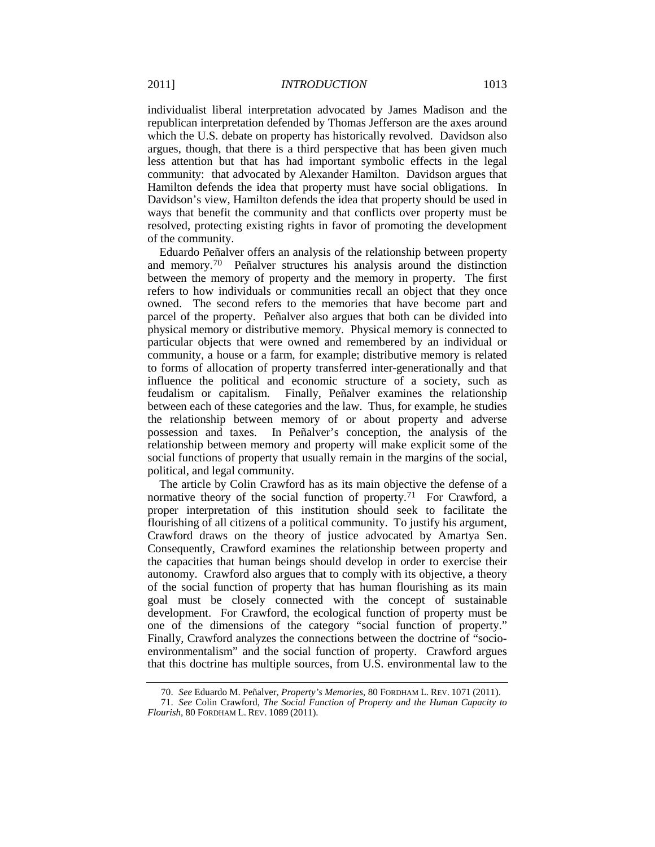individualist liberal interpretation advocated by James Madison and the republican interpretation defended by Thomas Jefferson are the axes around which the U.S. debate on property has historically revolved. Davidson also argues, though, that there is a third perspective that has been given much less attention but that has had important symbolic effects in the legal community: that advocated by Alexander Hamilton. Davidson argues that Hamilton defends the idea that property must have social obligations. In Davidson's view, Hamilton defends the idea that property should be used in ways that benefit the community and that conflicts over property must be resolved, protecting existing rights in favor of promoting the development of the community.

Eduardo Peñalver offers an analysis of the relationship between property and memory.[70](#page-11-0) Peñalver structures his analysis around the distinction between the memory of property and the memory in property. The first refers to how individuals or communities recall an object that they once owned. The second refers to the memories that have become part and parcel of the property. Peñalver also argues that both can be divided into physical memory or distributive memory. Physical memory is connected to particular objects that were owned and remembered by an individual or community, a house or a farm, for example; distributive memory is related to forms of allocation of property transferred inter-generationally and that influence the political and economic structure of a society, such as feudalism or capitalism. Finally, Peñalver examines the relationship between each of these categories and the law. Thus, for example, he studies the relationship between memory of or about property and adverse possession and taxes. In Peñalver's conception, the analysis of the relationship between memory and property will make explicit some of the social functions of property that usually remain in the margins of the social, political, and legal community.

The article by Colin Crawford has as its main objective the defense of a normative theory of the social function of property.<sup>[71](#page-11-1)</sup> For Crawford, a proper interpretation of this institution should seek to facilitate the flourishing of all citizens of a political community. To justify his argument, Crawford draws on the theory of justice advocated by Amartya Sen. Consequently, Crawford examines the relationship between property and the capacities that human beings should develop in order to exercise their autonomy. Crawford also argues that to comply with its objective, a theory of the social function of property that has human flourishing as its main goal must be closely connected with the concept of sustainable development. For Crawford, the ecological function of property must be one of the dimensions of the category "social function of property." Finally, Crawford analyzes the connections between the doctrine of "socioenvironmentalism" and the social function of property. Crawford argues that this doctrine has multiple sources, from U.S. environmental law to the

<sup>70.</sup> *See* Eduardo M. Peñalver, *Property's Memories*, 80 FORDHAM L. REV. 1071 (2011).

<span id="page-11-1"></span><span id="page-11-0"></span><sup>71.</sup> *See* Colin Crawford, *The Social Function of Property and the Human Capacity to Flourish*, 80 FORDHAM L. REV. 1089 (2011).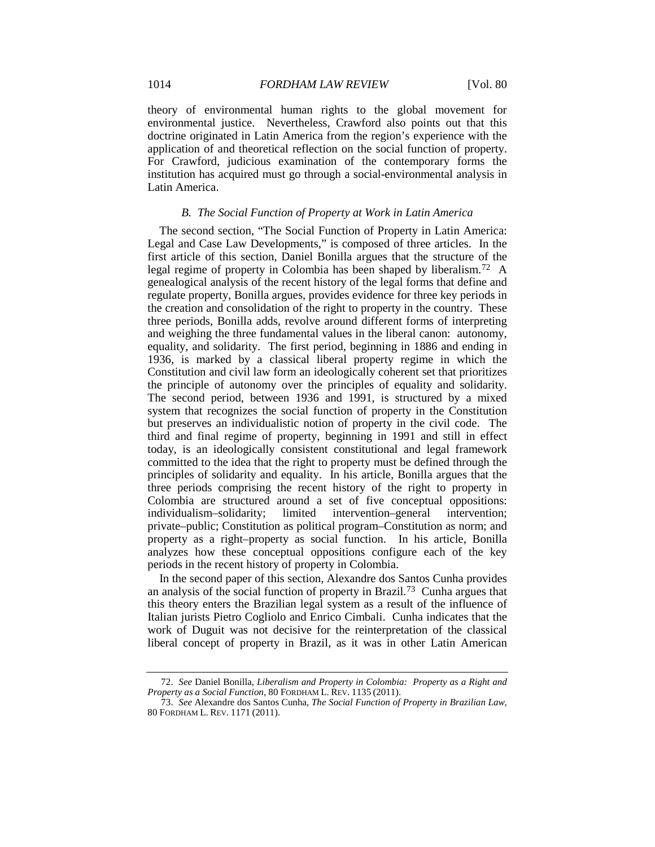theory of environmental human rights to the global movement for environmental justice. Nevertheless, Crawford also points out that this doctrine originated in Latin America from the region's experience with the application of and theoretical reflection on the social function of property. For Crawford, judicious examination of the contemporary forms the institution has acquired must go through a social-environmental analysis in Latin America.

### *B. The Social Function of Property at Work in Latin America*

The second section, "The Social Function of Property in Latin America: Legal and Case Law Developments," is composed of three articles. In the first article of this section, Daniel Bonilla argues that the structure of the legal regime of property in Colombia has been shaped by liberalism.[72](#page-12-0) A genealogical analysis of the recent history of the legal forms that define and regulate property, Bonilla argues, provides evidence for three key periods in the creation and consolidation of the right to property in the country. These three periods, Bonilla adds, revolve around different forms of interpreting and weighing the three fundamental values in the liberal canon: autonomy, equality, and solidarity. The first period, beginning in 1886 and ending in 1936, is marked by a classical liberal property regime in which the Constitution and civil law form an ideologically coherent set that prioritizes the principle of autonomy over the principles of equality and solidarity. The second period, between 1936 and 1991, is structured by a mixed system that recognizes the social function of property in the Constitution but preserves an individualistic notion of property in the civil code. The third and final regime of property, beginning in 1991 and still in effect today, is an ideologically consistent constitutional and legal framework committed to the idea that the right to property must be defined through the principles of solidarity and equality. In his article, Bonilla argues that the three periods comprising the recent history of the right to property in Colombia are structured around a set of five conceptual oppositions: individualism–solidarity; limited intervention–general intervention; private–public; Constitution as political program–Constitution as norm; and property as a right–property as social function. In his article, Bonilla analyzes how these conceptual oppositions configure each of the key periods in the recent history of property in Colombia.

In the second paper of this section, Alexandre dos Santos Cunha provides an analysis of the social function of property in Brazil. [73](#page-12-1) Cunha argues that this theory enters the Brazilian legal system as a result of the influence of Italian jurists Pietro Cogliolo and Enrico Cimbali. Cunha indicates that the work of Duguit was not decisive for the reinterpretation of the classical liberal concept of property in Brazil, as it was in other Latin American

<span id="page-12-0"></span><sup>72.</sup> *See* Daniel Bonilla, *Liberalism and Property in Colombia: Property as a Right and Property as a Social Function*, 80 FORDHAM L. REV. 1135 (2011).

<span id="page-12-1"></span><sup>73.</sup> *See* Alexandre dos Santos Cunha, *The Social Function of Property in Brazilian Law*, 80 FORDHAM L. REV. 1171 (2011).